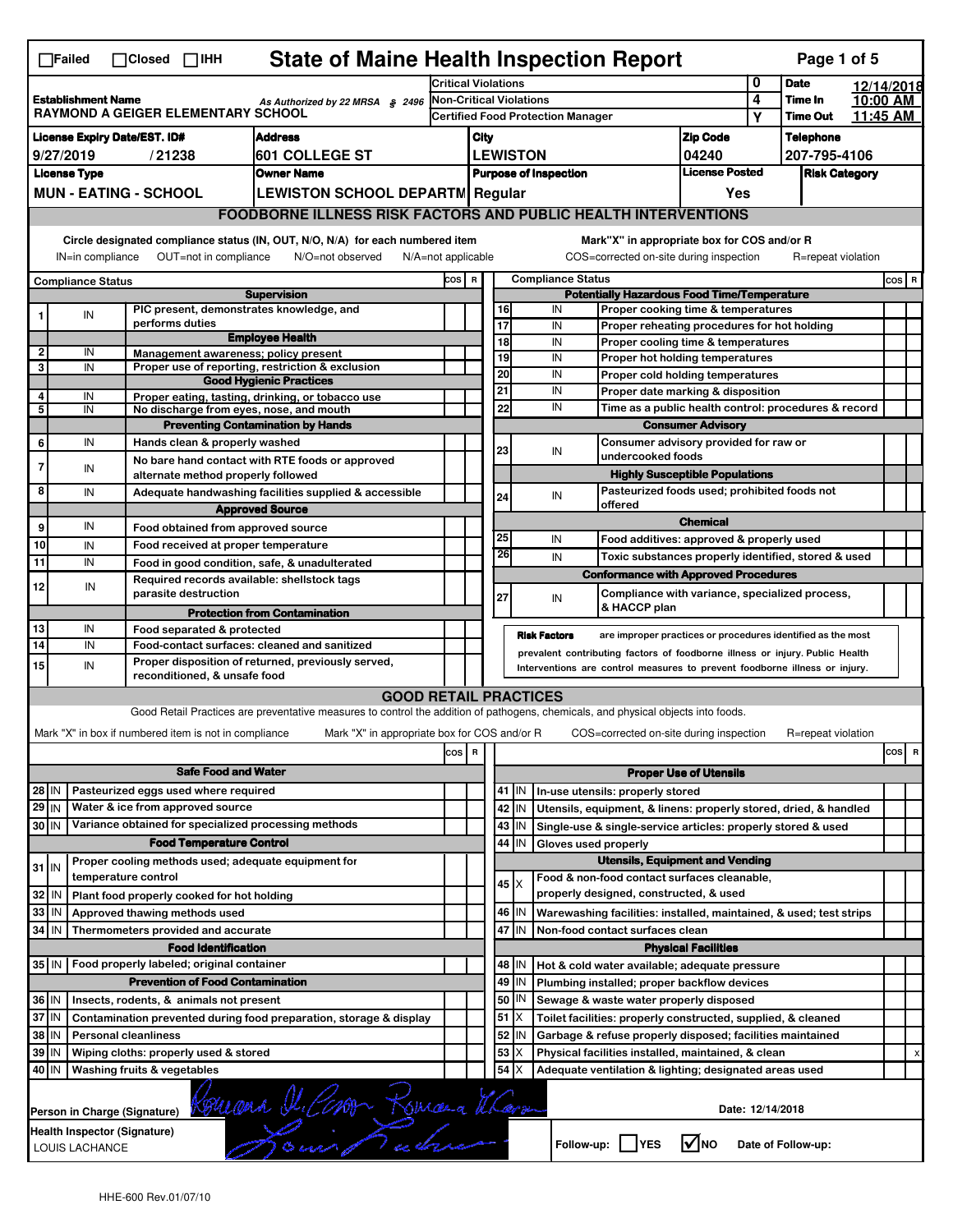|                                                                                                           | <b>State of Maine Health Inspection Report</b><br>Page 1 of 5<br>$\Box$ Failed<br>$\Box$ Closed $\Box$ IHH                              |  |                                                                            |                                                                                                                                   |                            |                          |                              |                                                                                                                 |                          |                            |                                                                                          |                               |              |                    |                      |         |                         |
|-----------------------------------------------------------------------------------------------------------|-----------------------------------------------------------------------------------------------------------------------------------------|--|----------------------------------------------------------------------------|-----------------------------------------------------------------------------------------------------------------------------------|----------------------------|--------------------------|------------------------------|-----------------------------------------------------------------------------------------------------------------|--------------------------|----------------------------|------------------------------------------------------------------------------------------|-------------------------------|--------------|--------------------|----------------------|---------|-------------------------|
|                                                                                                           |                                                                                                                                         |  |                                                                            |                                                                                                                                   | <b>Critical Violations</b> |                          |                              |                                                                                                                 |                          | 0                          | <b>Date</b>                                                                              | 12/14/2018                    |              |                    |                      |         |                         |
| <b>Establishment Name</b><br>As Authorized by 22 MRSA § 2496<br><b>RAYMOND A GEIGER ELEMENTARY SCHOOL</b> |                                                                                                                                         |  | <b>Non-Critical Violations</b><br><b>Certified Food Protection Manager</b> |                                                                                                                                   |                            |                          |                              |                                                                                                                 | 4<br>Υ                   | Time In<br><b>Time Out</b> | 10:00 AM<br>11:45 AM                                                                     |                               |              |                    |                      |         |                         |
|                                                                                                           | <b>License Expiry Date/EST. ID#</b><br><b>Address</b>                                                                                   |  |                                                                            |                                                                                                                                   |                            | <b>Zip Code</b><br>City  |                              |                                                                                                                 |                          |                            |                                                                                          | <b>Telephone</b>              |              |                    |                      |         |                         |
|                                                                                                           | 9/27/2019                                                                                                                               |  | /21238                                                                     | 601 COLLEGE ST                                                                                                                    |                            | <b>LEWISTON</b><br>04240 |                              |                                                                                                                 |                          |                            |                                                                                          |                               | 207-795-4106 |                    |                      |         |                         |
|                                                                                                           | <b>License Type</b><br><b>Owner Name</b>                                                                                                |  |                                                                            |                                                                                                                                   |                            |                          | <b>Purpose of Inspection</b> |                                                                                                                 |                          |                            |                                                                                          | <b>License Posted</b>         |              |                    | <b>Risk Category</b> |         |                         |
|                                                                                                           |                                                                                                                                         |  | <b>MUN - EATING - SCHOOL</b>                                               | <b>LEWISTON SCHOOL DEPARTM Regular</b>                                                                                            |                            | Yes                      |                              |                                                                                                                 |                          |                            |                                                                                          |                               |              |                    |                      |         |                         |
|                                                                                                           |                                                                                                                                         |  |                                                                            | <b>FOODBORNE ILLNESS RISK FACTORS AND PUBLIC HEALTH INTERVENTIONS</b>                                                             |                            |                          |                              |                                                                                                                 |                          |                            |                                                                                          |                               |              |                    |                      |         |                         |
|                                                                                                           | Circle designated compliance status (IN, OUT, N/O, N/A) for each numbered item<br>Mark"X" in appropriate box for COS and/or R           |  |                                                                            |                                                                                                                                   |                            |                          |                              |                                                                                                                 |                          |                            |                                                                                          |                               |              |                    |                      |         |                         |
|                                                                                                           | IN=in compliance                                                                                                                        |  | OUT=not in compliance                                                      | N/O=not observed<br>$N/A = not$ applicable                                                                                        |                            |                          |                              |                                                                                                                 |                          |                            | COS=corrected on-site during inspection                                                  |                               |              | R=repeat violation |                      |         |                         |
|                                                                                                           | <b>Compliance Status</b>                                                                                                                |  |                                                                            |                                                                                                                                   | COS R                      |                          |                              |                                                                                                                 | <b>Compliance Status</b> |                            |                                                                                          |                               |              |                    |                      | $cos$ R |                         |
|                                                                                                           |                                                                                                                                         |  | PIC present, demonstrates knowledge, and                                   | <b>Supervision</b>                                                                                                                |                            |                          |                              | 16                                                                                                              | IN                       |                            | <b>Potentially Hazardous Food Time/Temperature</b><br>Proper cooking time & temperatures |                               |              |                    |                      |         |                         |
|                                                                                                           | IN                                                                                                                                      |  | performs duties                                                            |                                                                                                                                   |                            |                          |                              | 17                                                                                                              | IN                       |                            | Proper reheating procedures for hot holding                                              |                               |              |                    |                      |         |                         |
|                                                                                                           |                                                                                                                                         |  |                                                                            | <b>Employee Health</b>                                                                                                            |                            |                          |                              | 18                                                                                                              | IN                       |                            | Proper cooling time & temperatures                                                       |                               |              |                    |                      |         |                         |
| $\overline{\mathbf{c}}$<br>3                                                                              | IN<br>IN                                                                                                                                |  | Management awareness: policy present                                       | Proper use of reporting, restriction & exclusion                                                                                  |                            |                          |                              | 19                                                                                                              | IN                       |                            | Proper hot holding temperatures                                                          |                               |              |                    |                      |         |                         |
|                                                                                                           |                                                                                                                                         |  |                                                                            | <b>Good Hygienic Practices</b>                                                                                                    |                            |                          |                              | 20                                                                                                              | IN                       |                            | Proper cold holding temperatures                                                         |                               |              |                    |                      |         |                         |
| 4                                                                                                         | IN                                                                                                                                      |  |                                                                            | Proper eating, tasting, drinking, or tobacco use                                                                                  |                            |                          | 21                           |                                                                                                                 | IN                       |                            | Proper date marking & disposition                                                        |                               |              |                    |                      |         |                         |
| 5                                                                                                         | IN                                                                                                                                      |  | No discharge from eyes, nose, and mouth                                    |                                                                                                                                   |                            |                          |                              | 22                                                                                                              | IN                       |                            | Time as a public health control: procedures & record                                     |                               |              |                    |                      |         |                         |
|                                                                                                           |                                                                                                                                         |  |                                                                            | <b>Preventing Contamination by Hands</b>                                                                                          |                            |                          |                              |                                                                                                                 |                          |                            |                                                                                          | <b>Consumer Advisory</b>      |              |                    |                      |         |                         |
| 6                                                                                                         | IN                                                                                                                                      |  | Hands clean & properly washed                                              |                                                                                                                                   |                            |                          |                              | 23                                                                                                              | IN                       |                            | Consumer advisory provided for raw or<br>undercooked foods                               |                               |              |                    |                      |         |                         |
| 7                                                                                                         | IN                                                                                                                                      |  |                                                                            | No bare hand contact with RTE foods or approved                                                                                   |                            |                          |                              |                                                                                                                 |                          |                            | <b>Highly Susceptible Populations</b>                                                    |                               |              |                    |                      |         |                         |
| 8                                                                                                         | IN                                                                                                                                      |  | alternate method properly followed                                         | Adequate handwashing facilities supplied & accessible                                                                             |                            |                          |                              |                                                                                                                 |                          |                            | Pasteurized foods used; prohibited foods not                                             |                               |              |                    |                      |         |                         |
|                                                                                                           |                                                                                                                                         |  |                                                                            | <b>Approved Source</b>                                                                                                            |                            |                          | 24                           |                                                                                                                 | IN                       |                            | offered                                                                                  |                               |              |                    |                      |         |                         |
| 9                                                                                                         | IN                                                                                                                                      |  | Food obtained from approved source                                         |                                                                                                                                   |                            |                          |                              |                                                                                                                 |                          |                            |                                                                                          | <b>Chemical</b>               |              |                    |                      |         |                         |
| 10                                                                                                        | IN                                                                                                                                      |  | Food received at proper temperature                                        |                                                                                                                                   |                            |                          | 25                           |                                                                                                                 | IN                       |                            | Food additives: approved & properly used                                                 |                               |              |                    |                      |         |                         |
| 11                                                                                                        | IN                                                                                                                                      |  | Food in good condition, safe, & unadulterated                              |                                                                                                                                   |                            |                          |                              | 26                                                                                                              | IN                       |                            | Toxic substances properly identified, stored & used                                      |                               |              |                    |                      |         |                         |
|                                                                                                           |                                                                                                                                         |  | Required records available: shellstock tags                                |                                                                                                                                   |                            |                          |                              |                                                                                                                 |                          |                            | <b>Conformance with Approved Procedures</b>                                              |                               |              |                    |                      |         |                         |
| 12                                                                                                        | IN                                                                                                                                      |  | parasite destruction                                                       |                                                                                                                                   |                            |                          | 27                           |                                                                                                                 | IN                       |                            | Compliance with variance, specialized process,                                           |                               |              |                    |                      |         |                         |
|                                                                                                           |                                                                                                                                         |  |                                                                            | <b>Protection from Contamination</b>                                                                                              |                            |                          |                              |                                                                                                                 |                          |                            | & HACCP plan                                                                             |                               |              |                    |                      |         |                         |
| 13                                                                                                        | IN                                                                                                                                      |  | Food separated & protected                                                 |                                                                                                                                   |                            |                          |                              |                                                                                                                 | <b>Risk Factors</b>      |                            | are improper practices or procedures identified as the most                              |                               |              |                    |                      |         |                         |
| 14                                                                                                        | IN                                                                                                                                      |  | Food-contact surfaces: cleaned and sanitized                               |                                                                                                                                   |                            |                          |                              |                                                                                                                 |                          |                            | prevalent contributing factors of foodborne illness or injury. Public Health             |                               |              |                    |                      |         |                         |
| 15                                                                                                        | IN                                                                                                                                      |  | reconditioned, & unsafe food                                               | Proper disposition of returned, previously served,                                                                                |                            |                          |                              |                                                                                                                 |                          |                            | Interventions are control measures to prevent foodborne illness or injury.               |                               |              |                    |                      |         |                         |
|                                                                                                           |                                                                                                                                         |  |                                                                            | <b>GOOD RETAIL PRACTICES</b>                                                                                                      |                            |                          |                              |                                                                                                                 |                          |                            |                                                                                          |                               |              |                    |                      |         |                         |
|                                                                                                           |                                                                                                                                         |  |                                                                            | Good Retail Practices are preventative measures to control the addition of pathogens, chemicals, and physical objects into foods. |                            |                          |                              |                                                                                                                 |                          |                            |                                                                                          |                               |              |                    |                      |         |                         |
|                                                                                                           |                                                                                                                                         |  | Mark "X" in box if numbered item is not in compliance                      | Mark "X" in appropriate box for COS and/or R                                                                                      |                            |                          |                              |                                                                                                                 |                          |                            | COS=corrected on-site during inspection                                                  |                               |              | R=repeat violation |                      |         |                         |
|                                                                                                           |                                                                                                                                         |  |                                                                            |                                                                                                                                   |                            |                          |                              |                                                                                                                 |                          |                            |                                                                                          |                               |              |                    |                      |         |                         |
|                                                                                                           |                                                                                                                                         |  |                                                                            |                                                                                                                                   | cos R                      |                          |                              |                                                                                                                 |                          |                            |                                                                                          |                               |              |                    |                      | cos     | $\overline{\mathbf{R}}$ |
|                                                                                                           |                                                                                                                                         |  | <b>Safe Food and Water</b>                                                 |                                                                                                                                   |                            |                          |                              |                                                                                                                 |                          |                            |                                                                                          | <b>Proper Use of Utensils</b> |              |                    |                      |         |                         |
| 28 IN                                                                                                     |                                                                                                                                         |  | Pasteurized eggs used where required                                       |                                                                                                                                   |                            |                          |                              | 41 J IN<br>In-use utensils: properly stored<br>Utensils, equipment, & linens: properly stored, dried, & handled |                          |                            |                                                                                          |                               |              |                    |                      |         |                         |
| 29 IN                                                                                                     |                                                                                                                                         |  | Water & ice from approved source                                           |                                                                                                                                   |                            |                          |                              | 42<br>IN                                                                                                        |                          |                            |                                                                                          |                               |              |                    |                      |         |                         |
| 30 IN                                                                                                     |                                                                                                                                         |  | Variance obtained for specialized processing methods                       |                                                                                                                                   |                            |                          |                              | 43<br>IN                                                                                                        |                          |                            | Single-use & single-service articles: properly stored & used                             |                               |              |                    |                      |         |                         |
|                                                                                                           |                                                                                                                                         |  | <b>Food Temperature Control</b>                                            |                                                                                                                                   |                            |                          |                              | 44<br>IN                                                                                                        |                          |                            | Gloves used properly                                                                     |                               |              |                    |                      |         |                         |
| $31$ IN                                                                                                   |                                                                                                                                         |  | Proper cooling methods used; adequate equipment for<br>temperature control |                                                                                                                                   |                            |                          |                              |                                                                                                                 |                          |                            | <b>Utensils, Equipment and Vending</b>                                                   |                               |              |                    |                      |         |                         |
| 32                                                                                                        | IN                                                                                                                                      |  | Plant food properly cooked for hot holding                                 |                                                                                                                                   |                            |                          |                              | $45 \times$                                                                                                     |                          |                            | Food & non-food contact surfaces cleanable,<br>properly designed, constructed, & used    |                               |              |                    |                      |         |                         |
| 33                                                                                                        | IN                                                                                                                                      |  | Approved thawing methods used                                              |                                                                                                                                   |                            |                          |                              | 46<br>IN                                                                                                        |                          |                            | Warewashing facilities: installed, maintained, & used; test strips                       |                               |              |                    |                      |         |                         |
| 34                                                                                                        | l IN                                                                                                                                    |  | Thermometers provided and accurate                                         |                                                                                                                                   |                            |                          |                              | 47 I IN                                                                                                         |                          |                            | Non-food contact surfaces clean                                                          |                               |              |                    |                      |         |                         |
|                                                                                                           |                                                                                                                                         |  | <b>Food Identification</b>                                                 |                                                                                                                                   |                            |                          |                              |                                                                                                                 |                          |                            |                                                                                          | <b>Physical Facilities</b>    |              |                    |                      |         |                         |
| 35 IN                                                                                                     |                                                                                                                                         |  | Food properly labeled; original container                                  |                                                                                                                                   |                            |                          |                              | 48   IN                                                                                                         |                          |                            | Hot & cold water available; adequate pressure                                            |                               |              |                    |                      |         |                         |
|                                                                                                           |                                                                                                                                         |  | <b>Prevention of Food Contamination</b>                                    |                                                                                                                                   |                            |                          |                              | 49<br>IN                                                                                                        |                          |                            | Plumbing installed; proper backflow devices                                              |                               |              |                    |                      |         |                         |
| 36 IN                                                                                                     |                                                                                                                                         |  | Insects, rodents, & animals not present                                    |                                                                                                                                   |                            |                          |                              | 50<br>IN                                                                                                        |                          |                            | Sewage & waste water properly disposed                                                   |                               |              |                    |                      |         |                         |
| 37 IN                                                                                                     |                                                                                                                                         |  |                                                                            | Contamination prevented during food preparation, storage & display                                                                |                            |                          |                              | 51<br>IX.                                                                                                       |                          |                            | Toilet facilities: properly constructed, supplied, & cleaned                             |                               |              |                    |                      |         |                         |
| 38                                                                                                        | ΙN                                                                                                                                      |  | <b>Personal cleanliness</b>                                                |                                                                                                                                   |                            |                          |                              | 52<br>IN                                                                                                        |                          |                            | Garbage & refuse properly disposed; facilities maintained                                |                               |              |                    |                      |         |                         |
| 39 IN                                                                                                     |                                                                                                                                         |  | Wiping cloths: properly used & stored                                      |                                                                                                                                   |                            |                          |                              | 53                                                                                                              |                          |                            | Physical facilities installed, maintained, & clean                                       |                               |              |                    |                      |         | x                       |
| 40 IN                                                                                                     |                                                                                                                                         |  | Washing fruits & vegetables                                                |                                                                                                                                   |                            |                          |                              | 54<br>X                                                                                                         |                          |                            |                                                                                          |                               |              |                    |                      |         |                         |
|                                                                                                           | Adequate ventilation & lighting; designated areas used<br>Date: 12/14/2018<br>Person in Charge (Signature)                              |  |                                                                            |                                                                                                                                   |                            |                          |                              |                                                                                                                 |                          |                            |                                                                                          |                               |              |                    |                      |         |                         |
|                                                                                                           | Komana I. Com Romana Wara<br><b>Health Inspector (Signature)</b><br>l√lno<br>Follow-up:     YES<br>Date of Follow-up:<br>LOUIS LACHANCE |  |                                                                            |                                                                                                                                   |                            |                          |                              |                                                                                                                 |                          |                            |                                                                                          |                               |              |                    |                      |         |                         |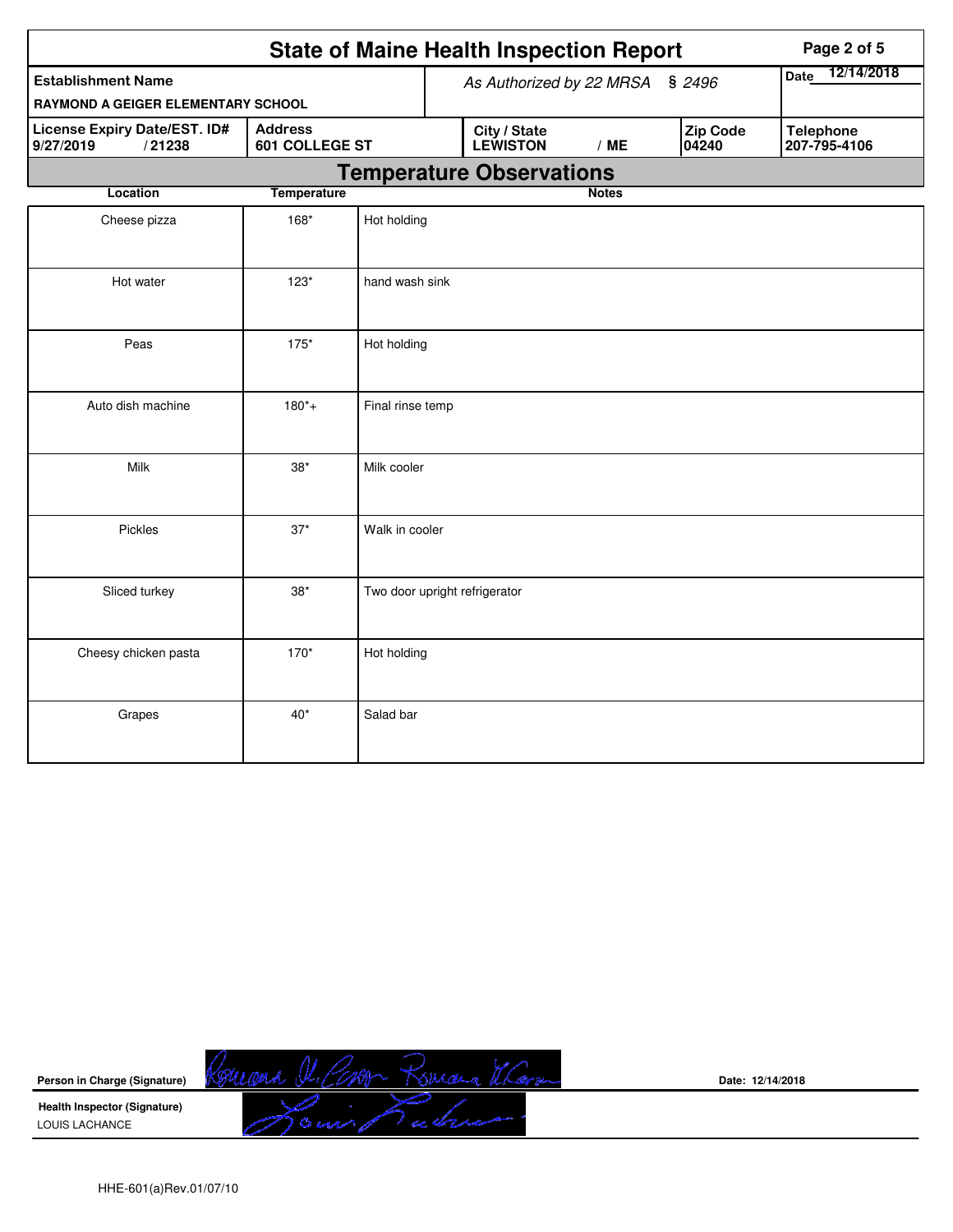|                                                                                         |                    | <b>State of Maine Health Inspection Report</b> | Page 2 of 5               |                                 |              |                          |                                  |
|-----------------------------------------------------------------------------------------|--------------------|------------------------------------------------|---------------------------|---------------------------------|--------------|--------------------------|----------------------------------|
| <b>Establishment Name</b>                                                               |                    | As Authorized by 22 MRSA                       | 12/14/2018<br><b>Date</b> |                                 |              |                          |                                  |
| RAYMOND A GEIGER ELEMENTARY SCHOOL                                                      |                    |                                                |                           |                                 |              | \$2496                   |                                  |
| License Expiry Date/EST. ID#<br><b>Address</b><br>/21238<br>601 COLLEGE ST<br>9/27/2019 |                    |                                                |                           | City / State<br><b>LEWISTON</b> | /ME          | <b>Zip Code</b><br>04240 | <b>Telephone</b><br>207-795-4106 |
|                                                                                         |                    |                                                |                           | <b>Temperature Observations</b> |              |                          |                                  |
| Location                                                                                | <b>Temperature</b> |                                                |                           |                                 | <b>Notes</b> |                          |                                  |
| Cheese pizza                                                                            | 168*               | Hot holding                                    |                           |                                 |              |                          |                                  |
| Hot water                                                                               | $123*$             | hand wash sink                                 |                           |                                 |              |                          |                                  |
| Peas                                                                                    | $175*$             | Hot holding                                    |                           |                                 |              |                          |                                  |
| Auto dish machine                                                                       | $180^{*}+$         | Final rinse temp                               |                           |                                 |              |                          |                                  |
| Milk                                                                                    | $38*$              | Milk cooler                                    |                           |                                 |              |                          |                                  |
| Pickles                                                                                 | $37*$              | Walk in cooler                                 |                           |                                 |              |                          |                                  |
| Sliced turkey                                                                           | $38*$              | Two door upright refrigerator                  |                           |                                 |              |                          |                                  |
| Cheesy chicken pasta                                                                    | 170*               | Hot holding                                    |                           |                                 |              |                          |                                  |
| Grapes                                                                                  | $40*$              | Salad bar                                      |                           |                                 |              |                          |                                  |



**Date: 12/14/2018**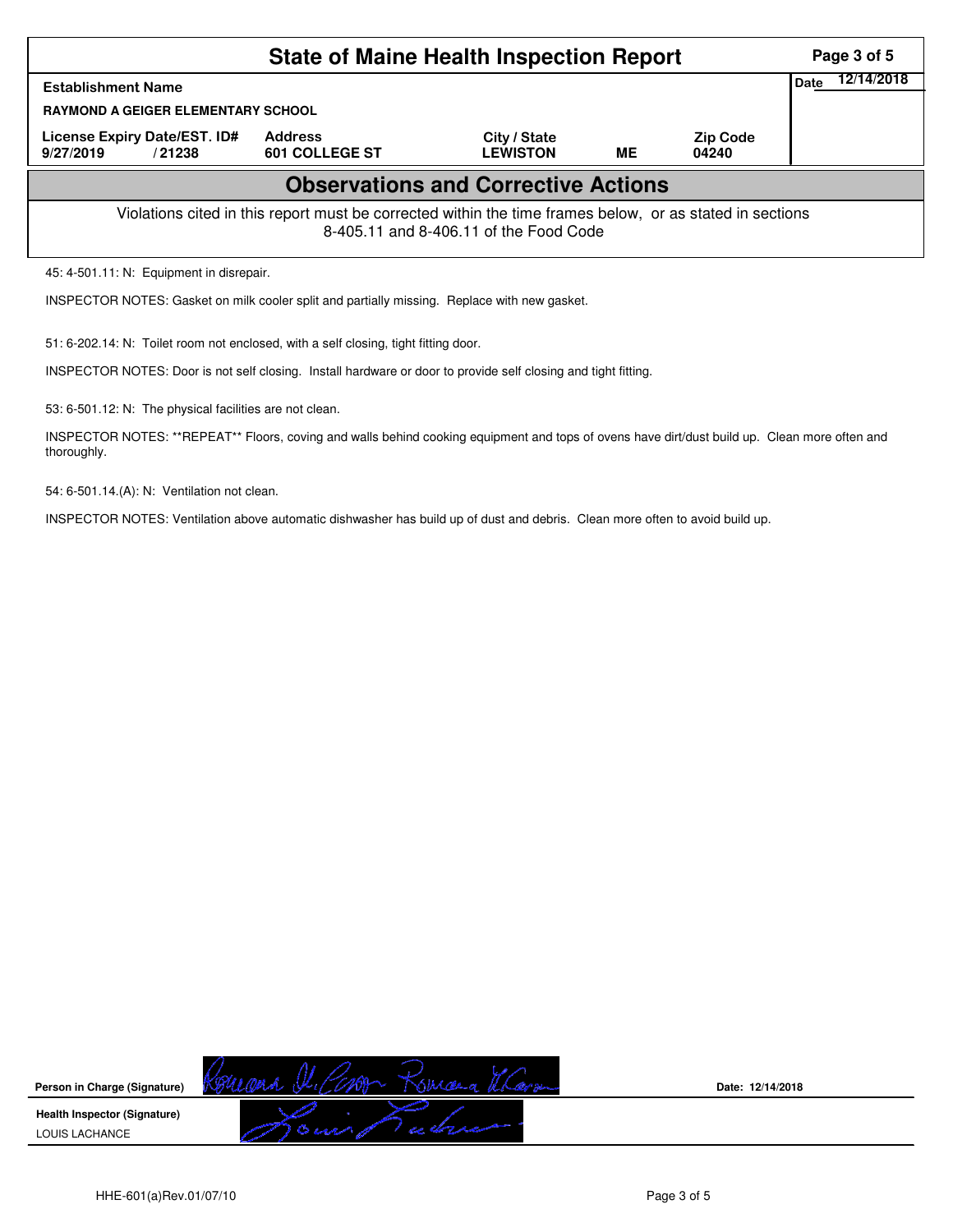|                                                                                                                                                    | <b>State of Maine Health Inspection Report</b> | Page 3 of 5                     |    |                          |      |            |  |  |  |
|----------------------------------------------------------------------------------------------------------------------------------------------------|------------------------------------------------|---------------------------------|----|--------------------------|------|------------|--|--|--|
| <b>Establishment Name</b>                                                                                                                          |                                                |                                 |    |                          | Date | 12/14/2018 |  |  |  |
| <b>RAYMOND A GEIGER ELEMENTARY SCHOOL</b>                                                                                                          |                                                |                                 |    |                          |      |            |  |  |  |
| License Expiry Date/EST. ID#<br>9/27/2019<br>/21238                                                                                                | <b>Address</b><br>601 COLLEGE ST               | City / State<br><b>LEWISTON</b> | ME | <b>Zip Code</b><br>04240 |      |            |  |  |  |
| <b>Observations and Corrective Actions</b>                                                                                                         |                                                |                                 |    |                          |      |            |  |  |  |
| Violations cited in this report must be corrected within the time frames below, or as stated in sections<br>8-405.11 and 8-406.11 of the Food Code |                                                |                                 |    |                          |      |            |  |  |  |
| 45: 4-501.11: N: Equipment in disrepair.                                                                                                           |                                                |                                 |    |                          |      |            |  |  |  |
| INSPECTOR NOTES: Gasket on milk cooler split and partially missing. Replace with new gasket.                                                       |                                                |                                 |    |                          |      |            |  |  |  |

51: 6-202.14: N: Toilet room not enclosed, with a self closing, tight fitting door.

INSPECTOR NOTES: Door is not self closing. Install hardware or door to provide self closing and tight fitting.

53: 6-501.12: N: The physical facilities are not clean.

INSPECTOR NOTES: \*\*REPEAT\*\* Floors, coving and walls behind cooking equipment and tops of ovens have dirt/dust build up. Clean more often and thoroughly.

54: 6-501.14.(A): N: Ventilation not clean.

INSPECTOR NOTES: Ventilation above automatic dishwasher has build up of dust and debris. Clean more often to avoid build up.

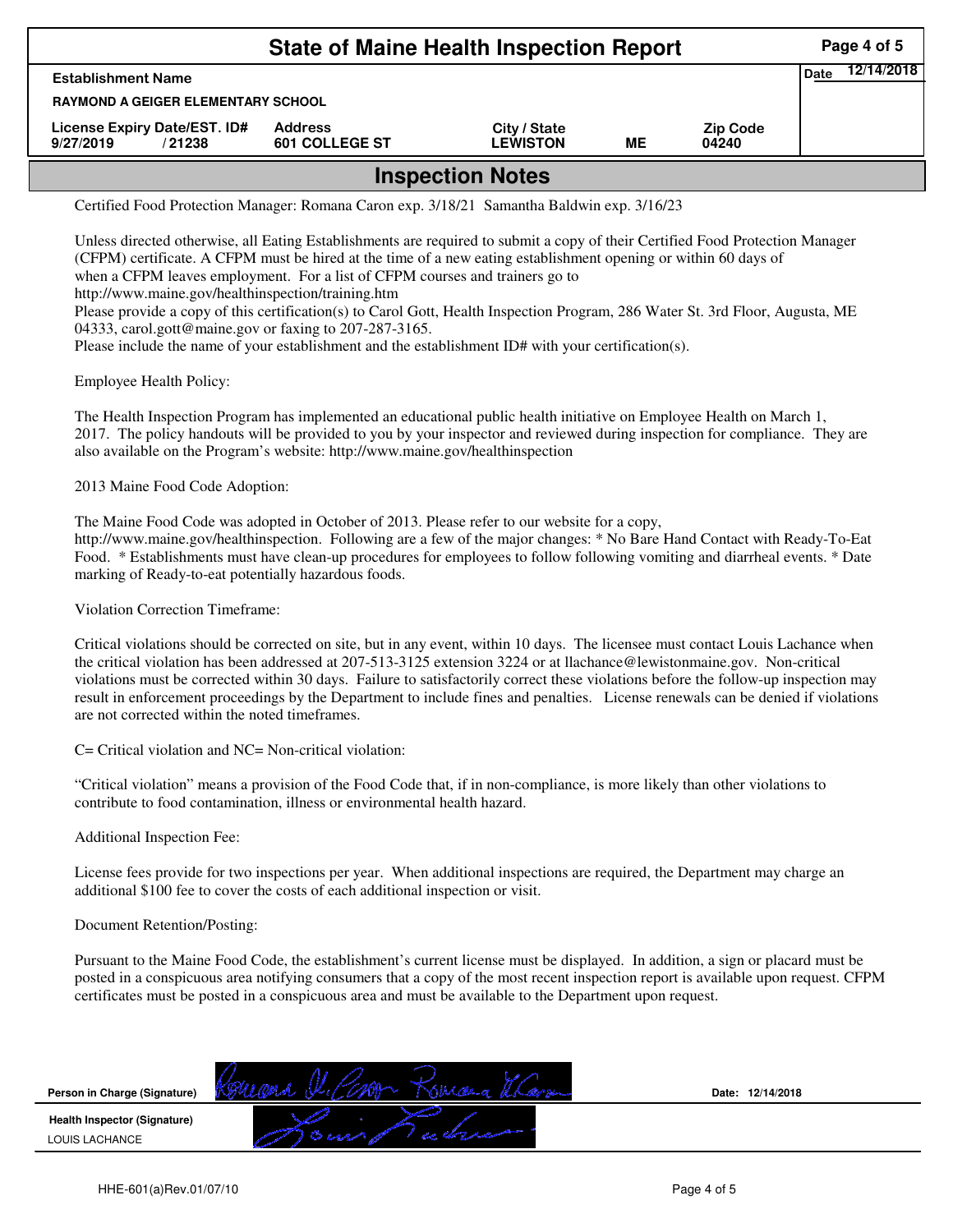| <b>State of Maine Health Inspection Report</b><br>Page 4 of 5 |                                  |                                 |    |                          |             |            |  |  |  |  |
|---------------------------------------------------------------|----------------------------------|---------------------------------|----|--------------------------|-------------|------------|--|--|--|--|
| <b>Establishment Name</b>                                     |                                  |                                 |    |                          | <b>Date</b> | 12/14/2018 |  |  |  |  |
| <b>RAYMOND A GEIGER ELEMENTARY SCHOOL</b>                     |                                  |                                 |    |                          |             |            |  |  |  |  |
| License Expiry Date/EST. ID#<br>9/27/2019<br>/21238           | <b>Address</b><br>601 COLLEGE ST | City / State<br><b>LEWISTON</b> | MЕ | <b>Zip Code</b><br>04240 |             |            |  |  |  |  |
| <b>Inspection Notes</b>                                       |                                  |                                 |    |                          |             |            |  |  |  |  |

## Certified Food Protection Manager: Romana Caron exp. 3/18/21 Samantha Baldwin exp. 3/16/23

Unless directed otherwise, all Eating Establishments are required to submit a copy of their Certified Food Protection Manager (CFPM) certificate. A CFPM must be hired at the time of a new eating establishment opening or within 60 days of when a CFPM leaves employment. For a list of CFPM courses and trainers go to http://www.maine.gov/healthinspection/training.htm

Please provide a copy of this certification(s) to Carol Gott, Health Inspection Program, 286 Water St. 3rd Floor, Augusta, ME 04333, carol.gott@maine.gov or faxing to 207-287-3165.

Please include the name of your establishment and the establishment ID# with your certification(s).

Employee Health Policy:

The Health Inspection Program has implemented an educational public health initiative on Employee Health on March 1, 2017. The policy handouts will be provided to you by your inspector and reviewed during inspection for compliance. They are also available on the Program's website: http://www.maine.gov/healthinspection

2013 Maine Food Code Adoption:

The Maine Food Code was adopted in October of 2013. Please refer to our website for a copy, http://www.maine.gov/healthinspection. Following are a few of the major changes: \* No Bare Hand Contact with Ready-To-Eat Food. \* Establishments must have clean-up procedures for employees to follow following vomiting and diarrheal events. \* Date marking of Ready-to-eat potentially hazardous foods.

Violation Correction Timeframe:

Critical violations should be corrected on site, but in any event, within 10 days. The licensee must contact Louis Lachance when the critical violation has been addressed at 207-513-3125 extension 3224 or at llachance@lewistonmaine.gov. Non-critical violations must be corrected within 30 days. Failure to satisfactorily correct these violations before the follow-up inspection may result in enforcement proceedings by the Department to include fines and penalties. License renewals can be denied if violations are not corrected within the noted timeframes.

C= Critical violation and NC= Non-critical violation:

"Critical violation" means a provision of the Food Code that, if in non-compliance, is more likely than other violations to contribute to food contamination, illness or environmental health hazard.

Additional Inspection Fee:

License fees provide for two inspections per year. When additional inspections are required, the Department may charge an additional \$100 fee to cover the costs of each additional inspection or visit.

## Document Retention/Posting:

Pursuant to the Maine Food Code, the establishment's current license must be displayed. In addition, a sign or placard must be posted in a conspicuous area notifying consumers that a copy of the most recent inspection report is available upon request. CFPM certificates must be posted in a conspicuous area and must be available to the Department upon request.

| Person in Charge (Signature) |             | Date: 12/14/2018 |  |
|------------------------------|-------------|------------------|--|
| Health Inspector (Signature) |             |                  |  |
| LOUIS LACHANCE               | a character |                  |  |